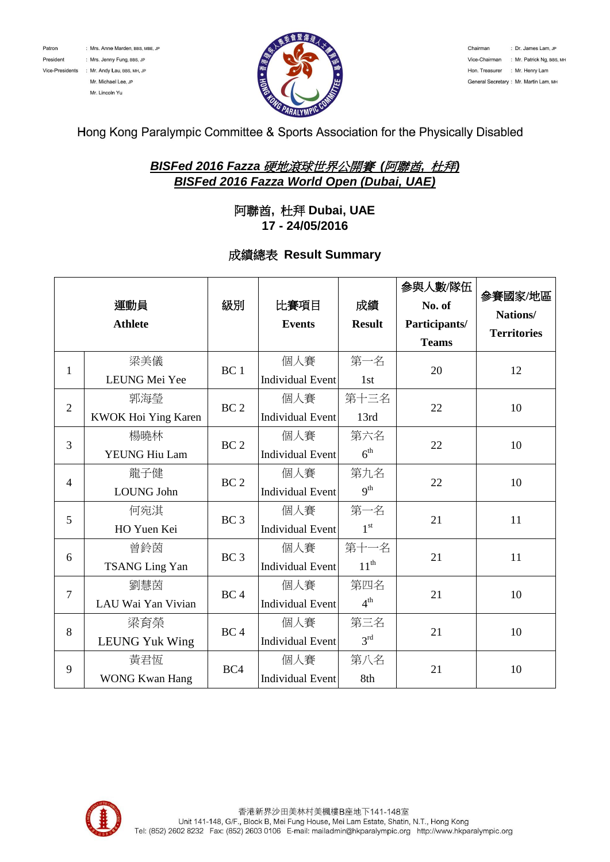



# Hong Kong Paralympic Committee & Sports Association for the Physically Disabled

# *BISFed 2016 Fazza* 硬地滾球世界公開賽 *(*阿聯酋*,* 杜拜*) BISFed 2016 Fazza World Open (Dubai, UAE)*

### 阿聯酋**,** 杜拜 **Dubai, UAE 17 - 24/05/2016**

#### 成績總表 **Result Summary**

|                | 運動員<br><b>Athlete</b>        | 級別              | 比賽項目<br><b>Events</b>          | 成績<br><b>Result</b>    | 参與人數/隊伍<br>No. of<br>Participants/<br><b>Teams</b> | 参賽國家/地區<br>Nations/<br><b>Territories</b> |
|----------------|------------------------------|-----------------|--------------------------------|------------------------|----------------------------------------------------|-------------------------------------------|
| $\mathbf{1}$   | 梁美儀<br>LEUNG Mei Yee         | BC <sub>1</sub> | 個人賽<br><b>Individual Event</b> | 第一名<br>1st             | 20                                                 | 12                                        |
| $\overline{2}$ | 郭海瑩<br>KWOK Hoi Ying Karen   | BC <sub>2</sub> | 個人賽<br><b>Individual Event</b> | 第十三名<br>13rd           | 22                                                 | 10                                        |
| 3              | 楊曉林<br>YEUNG Hiu Lam         | BC <sub>2</sub> | 個人賽<br><b>Individual Event</b> | 第六名<br>6 <sup>th</sup> | 22                                                 | 10                                        |
| $\overline{4}$ | 龍子健<br><b>LOUNG John</b>     | BC <sub>2</sub> | 個人賽<br><b>Individual Event</b> | 第九名<br>q <sup>th</sup> | 22                                                 | 10                                        |
| 5              | 何宛淇<br>HO Yuen Kei           | BC <sub>3</sub> | 個人賽<br><b>Individual Event</b> | 第一名<br>1 <sup>st</sup> | 21                                                 | 11                                        |
| 6              | 曾鈴茵<br><b>TSANG Ling Yan</b> | BC <sub>3</sub> | 個人賽<br><b>Individual Event</b> | 第十一名<br>$11^{th}$      | 21                                                 | 11                                        |
| $\overline{7}$ | 劉慧茵<br>LAU Wai Yan Vivian    | BC <sub>4</sub> | 個人賽<br><b>Individual Event</b> | 第四名<br>4 <sup>th</sup> | 21                                                 | 10                                        |
| 8              | 梁育榮<br><b>LEUNG Yuk Wing</b> | BC <sub>4</sub> | 個人賽<br><b>Individual Event</b> | 第三名<br>3 <sup>rd</sup> | 21                                                 | 10                                        |
| 9              | 黃君恆<br><b>WONG Kwan Hang</b> | BC4             | 個人賽<br><b>Individual Event</b> | 第八名<br>8th             | 21                                                 | 10                                        |